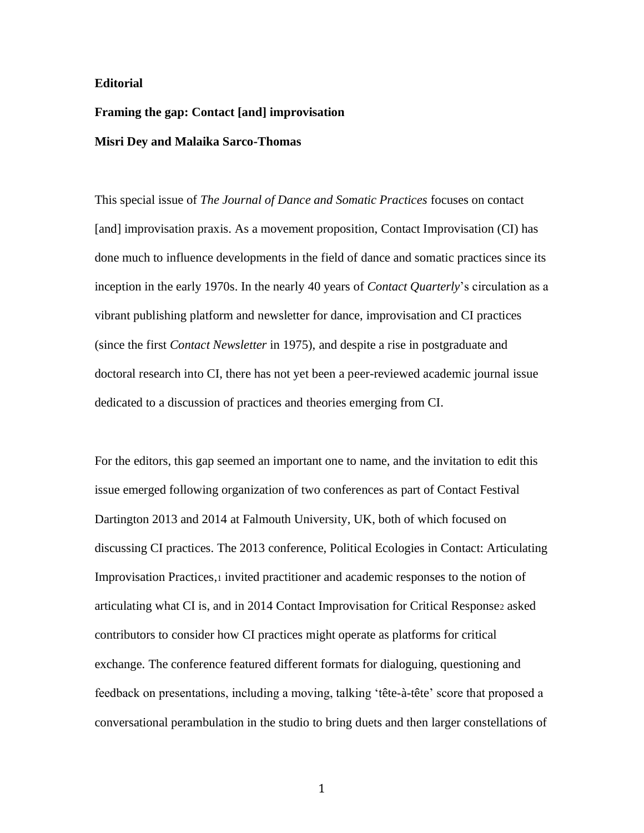### **Editorial**

# **Framing the gap: Contact [and] improvisation Misri Dey and Malaika Sarco-Thomas**

This special issue of *The Journal of Dance and Somatic Practices* focuses on contact [and] improvisation praxis. As a movement proposition, Contact Improvisation (CI) has done much to influence developments in the field of dance and somatic practices since its inception in the early 1970s. In the nearly 40 years of *Contact Quarterly*'s circulation as a vibrant publishing platform and newsletter for dance, improvisation and CI practices (since the first *Contact Newsletter* in 1975), and despite a rise in postgraduate and doctoral research into CI, there has not yet been a peer-reviewed academic journal issue dedicated to a discussion of practices and theories emerging from CI.

For the editors, this gap seemed an important one to name, and the invitation to edit this issue emerged following organization of two conferences as part of Contact Festival Dartington 2013 and 2014 at Falmouth University, UK, both of which focused on discussing CI practices. The 2013 conference, Political Ecologies in Contact: Articulating Improvisation Practices,<sup>1</sup> invited practitioner and academic responses to the notion of articulating what CI is, and in 2014 Contact Improvisation for Critical Response<sup>2</sup> asked contributors to consider how CI practices might operate as platforms for critical exchange. The conference featured different formats for dialoguing, questioning and feedback on presentations, including a moving, talking 'tête-à-tête' score that proposed a conversational perambulation in the studio to bring duets and then larger constellations of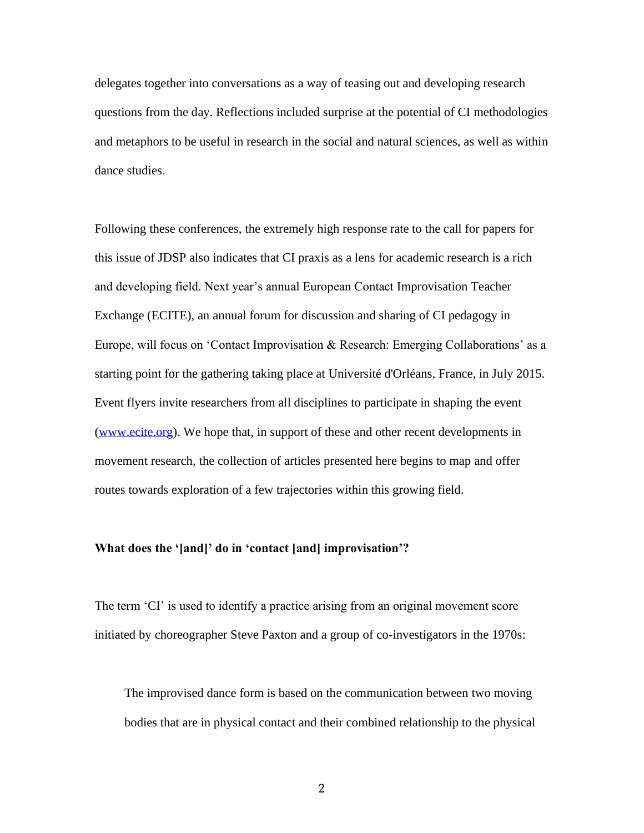delegates together into conversations as a way of teasing out and developing research questions from the day. Reflections included surprise at the potential of CI methodologies and metaphors to be useful in research in the social and natural sciences, as well as within dance studies.

Following these conferences, the extremely high response rate to the call for papers for this issue of JDSP also indicates that CI praxis as a lens for academic research is a rich and developing field. Next year's annual European Contact Improvisation Teacher Exchange (ECITE), an annual forum for discussion and sharing of CI pedagogy in Europe, will focus on 'Contact Improvisation & Research: Emerging Collaborations' as a starting point for the gathering taking place at [Université d'Orléans,](http://www.univ-orleans.fr/) France, in July 2015. Event flyers invite researchers from all disciplines to participate in shaping the event [\(www.ecite.org\)](http://www.ecite.org/). We hope that, in support of these and other recent developments in movement research, the collection of articles presented here begins to map and offer routes towards exploration of a few trajectories within this growing field.

### **What does the '[and]' do in 'contact [and] improvisation'?**

The term 'CI' is used to identify a practice arising from an original movement score initiated by choreographer Steve Paxton and a group of co-investigators in the 1970s:

The improvised dance form is based on the communication between two moving bodies that are in physical contact and their combined relationship to the physical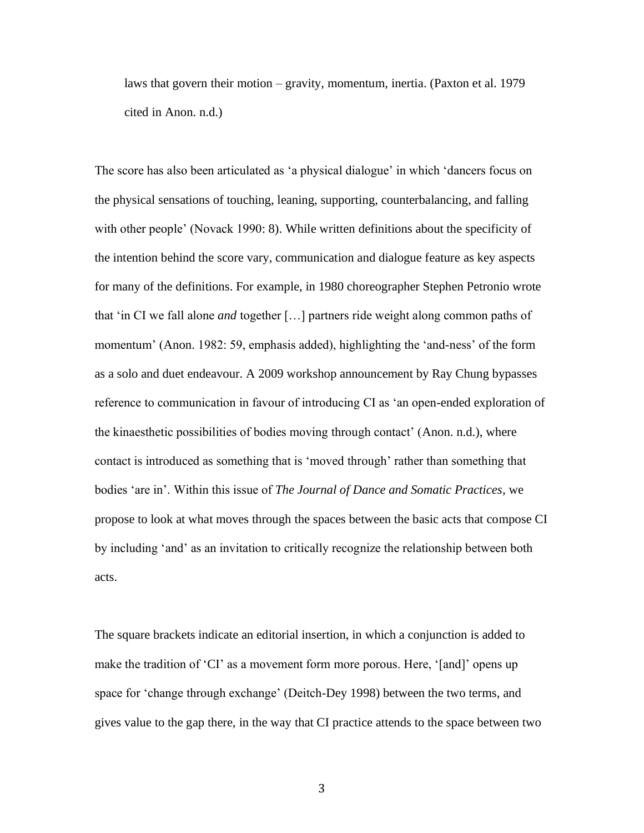laws that govern their motion – gravity, momentum, inertia. (Paxton et al. 1979 cited in Anon. n.d.)

The score has also been articulated as 'a physical dialogue' in which 'dancers focus on the physical sensations of touching, leaning, supporting, counterbalancing, and falling with other people' (Novack 1990: 8). While written definitions about the specificity of the intention behind the score vary, communication and dialogue feature as key aspects for many of the definitions. For example, in 1980 choreographer Stephen Petronio wrote that 'in CI we fall alone *and* together […] partners ride weight along common paths of momentum' (Anon. 1982: 59, emphasis added), highlighting the 'and-ness' of the form as a solo and duet endeavour. A 2009 workshop announcement by Ray Chung bypasses reference to communication in favour of introducing CI as 'an open-ended exploration of the kinaesthetic possibilities of bodies moving through contact' (Anon. n.d.), where contact is introduced as something that is 'moved through' rather than something that bodies 'are in'. Within this issue of *The Journal of Dance and Somatic Practices*, we propose to look at what moves through the spaces between the basic acts that compose CI by including 'and' as an invitation to critically recognize the relationship between both acts.

The square brackets indicate an editorial insertion, in which a conjunction is added to make the tradition of 'CI' as a movement form more porous. Here, '[and]' opens up space for 'change through exchange' (Deitch-Dey 1998) between the two terms, and gives value to the gap there, in the way that CI practice attends to the space between two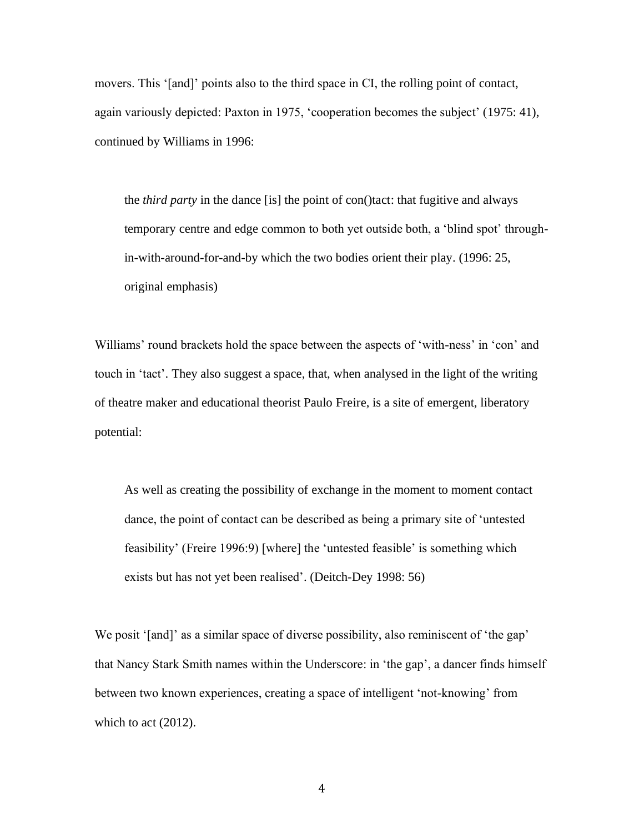movers. This '[and]' points also to the third space in CI, the rolling point of contact, again variously depicted: Paxton in 1975, 'cooperation becomes the subject' (1975: 41), continued by Williams in 1996:

the *third party* in the dance [is] the point of con()tact: that fugitive and always temporary centre and edge common to both yet outside both, a 'blind spot' throughin-with-around-for-and-by which the two bodies orient their play. (1996: 25, original emphasis)

Williams' round brackets hold the space between the aspects of 'with-ness' in 'con' and touch in 'tact'. They also suggest a space, that, when analysed in the light of the writing of theatre maker and educational theorist Paulo Freire, is a site of emergent, liberatory potential:

As well as creating the possibility of exchange in the moment to moment contact dance, the point of contact can be described as being a primary site of 'untested feasibility' (Freire 1996:9) [where] the 'untested feasible' is something which exists but has not yet been realised'. (Deitch-Dey 1998: 56)

We posit '[and]' as a similar space of diverse possibility, also reminiscent of 'the gap' that Nancy Stark Smith names within the Underscore: in 'the gap', a dancer finds himself between two known experiences, creating a space of intelligent 'not-knowing' from which to act  $(2012)$ .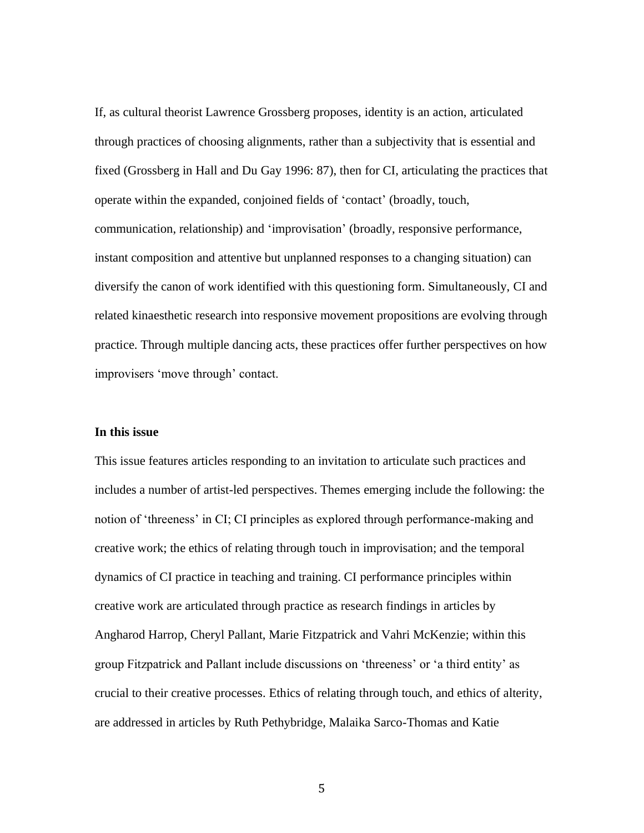If, as cultural theorist Lawrence Grossberg proposes, identity is an action, articulated through practices of choosing alignments, rather than a subjectivity that is essential and fixed (Grossberg in Hall and Du Gay 1996: 87), then for CI, articulating the practices that operate within the expanded, conjoined fields of 'contact' (broadly, touch, communication, relationship) and 'improvisation' (broadly, responsive performance, instant composition and attentive but unplanned responses to a changing situation) can diversify the canon of work identified with this questioning form. Simultaneously, CI and related kinaesthetic research into responsive movement propositions are evolving through practice. Through multiple dancing acts, these practices offer further perspectives on how improvisers 'move through' contact.

#### **In this issue**

This issue features articles responding to an invitation to articulate such practices and includes a number of artist-led perspectives. Themes emerging include the following: the notion of 'threeness' in CI; CI principles as explored through performance-making and creative work; the ethics of relating through touch in improvisation; and the temporal dynamics of CI practice in teaching and training. CI performance principles within creative work are articulated through practice as research findings in articles by Angharod Harrop, Cheryl Pallant, Marie Fitzpatrick and Vahri McKenzie; within this group Fitzpatrick and Pallant include discussions on 'threeness' or 'a third entity' as crucial to their creative processes. Ethics of relating through touch, and ethics of alterity, are addressed in articles by Ruth Pethybridge, Malaika Sarco-Thomas and Katie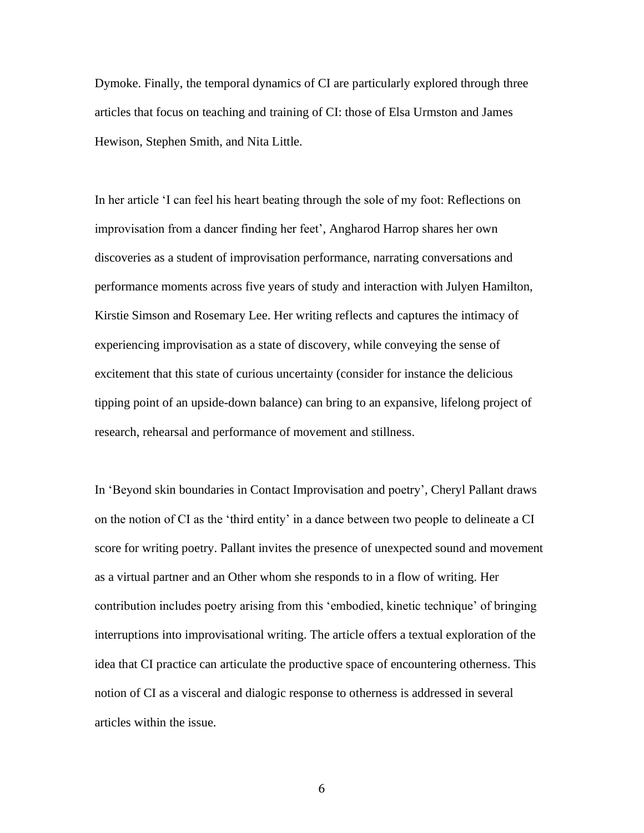Dymoke. Finally, the temporal dynamics of CI are particularly explored through three articles that focus on teaching and training of CI: those of Elsa Urmston and James Hewison, Stephen Smith, and Nita Little.

In her article 'I can feel his heart beating through the sole of my foot: Reflections on improvisation from a dancer finding her feet', Angharod Harrop shares her own discoveries as a student of improvisation performance, narrating conversations and performance moments across five years of study and interaction with Julyen Hamilton, Kirstie Simson and Rosemary Lee. Her writing reflects and captures the intimacy of experiencing improvisation as a state of discovery, while conveying the sense of excitement that this state of curious uncertainty (consider for instance the delicious tipping point of an upside-down balance) can bring to an expansive, lifelong project of research, rehearsal and performance of movement and stillness.

In 'Beyond skin boundaries in Contact Improvisation and poetry', Cheryl Pallant draws on the notion of CI as the 'third entity' in a dance between two people to delineate a CI score for writing poetry. Pallant invites the presence of unexpected sound and movement as a virtual partner and an Other whom she responds to in a flow of writing. Her contribution includes poetry arising from this 'embodied, kinetic technique' of bringing interruptions into improvisational writing. The article offers a textual exploration of the idea that CI practice can articulate the productive space of encountering otherness. This notion of CI as a visceral and dialogic response to otherness is addressed in several articles within the issue.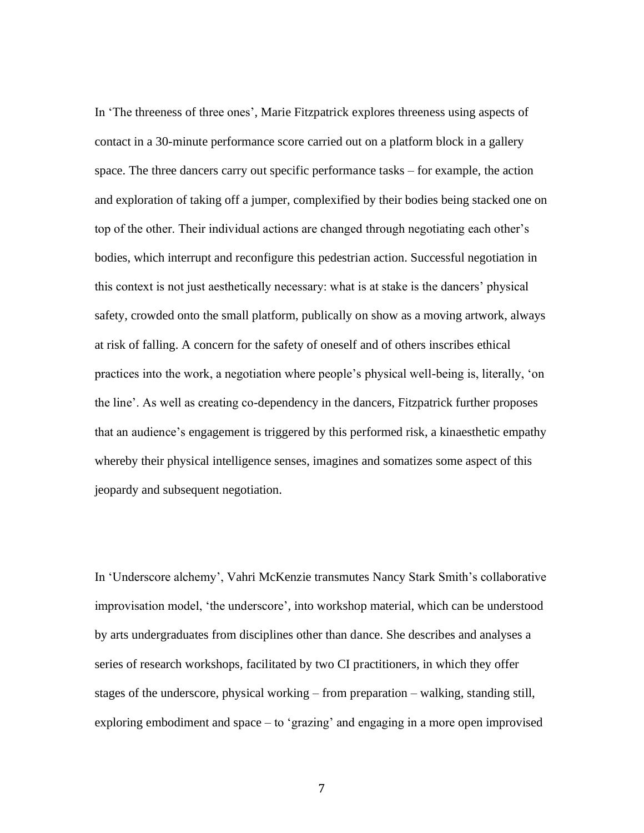In 'The threeness of three ones', Marie Fitzpatrick explores threeness using aspects of contact in a 30-minute performance score carried out on a platform block in a gallery space. The three dancers carry out specific performance tasks – for example, the action and exploration of taking off a jumper, complexified by their bodies being stacked one on top of the other. Their individual actions are changed through negotiating each other's bodies, which interrupt and reconfigure this pedestrian action. Successful negotiation in this context is not just aesthetically necessary: what is at stake is the dancers' physical safety, crowded onto the small platform, publically on show as a moving artwork, always at risk of falling. A concern for the safety of oneself and of others inscribes ethical practices into the work, a negotiation where people's physical well-being is, literally, 'on the line'. As well as creating co-dependency in the dancers, Fitzpatrick further proposes that an audience's engagement is triggered by this performed risk, a kinaesthetic empathy whereby their physical intelligence senses, imagines and somatizes some aspect of this jeopardy and subsequent negotiation.

In 'Underscore alchemy', Vahri McKenzie transmutes Nancy Stark Smith's collaborative improvisation model, 'the underscore', into workshop material, which can be understood by arts undergraduates from disciplines other than dance. She describes and analyses a series of research workshops, facilitated by two CI practitioners, in which they offer stages of the underscore, physical working – from preparation – walking, standing still, exploring embodiment and space – to 'grazing' and engaging in a more open improvised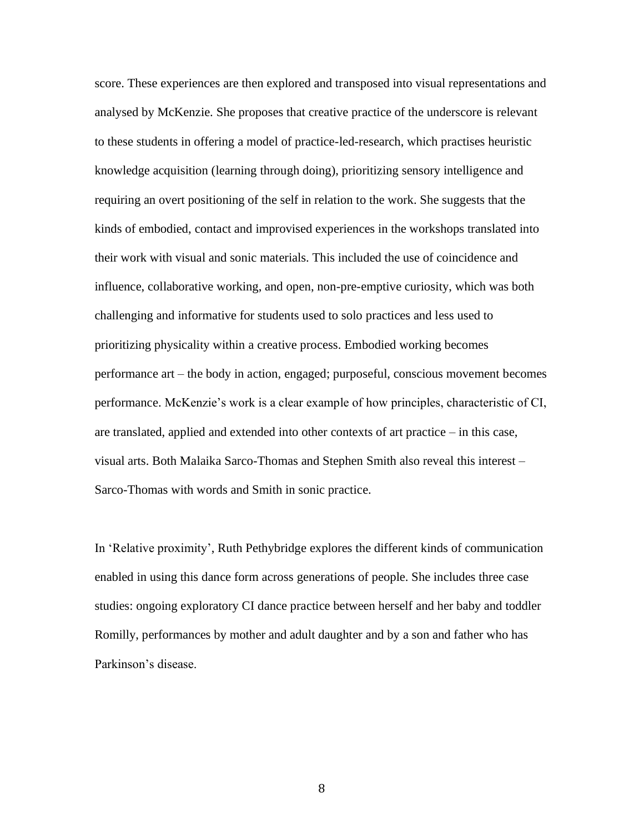score. These experiences are then explored and transposed into visual representations and analysed by McKenzie. She proposes that creative practice of the underscore is relevant to these students in offering a model of practice-led-research, which practises heuristic knowledge acquisition (learning through doing), prioritizing sensory intelligence and requiring an overt positioning of the self in relation to the work. She suggests that the kinds of embodied, contact and improvised experiences in the workshops translated into their work with visual and sonic materials. This included the use of coincidence and influence, collaborative working, and open, non-pre-emptive curiosity, which was both challenging and informative for students used to solo practices and less used to prioritizing physicality within a creative process. Embodied working becomes performance art – the body in action, engaged; purposeful, conscious movement becomes performance. McKenzie's work is a clear example of how principles, characteristic of CI, are translated, applied and extended into other contexts of art practice – in this case, visual arts. Both Malaika Sarco-Thomas and Stephen Smith also reveal this interest – Sarco-Thomas with words and Smith in sonic practice.

In 'Relative proximity', Ruth Pethybridge explores the different kinds of communication enabled in using this dance form across generations of people. She includes three case studies: ongoing exploratory CI dance practice between herself and her baby and toddler Romilly, performances by mother and adult daughter and by a son and father who has Parkinson's disease.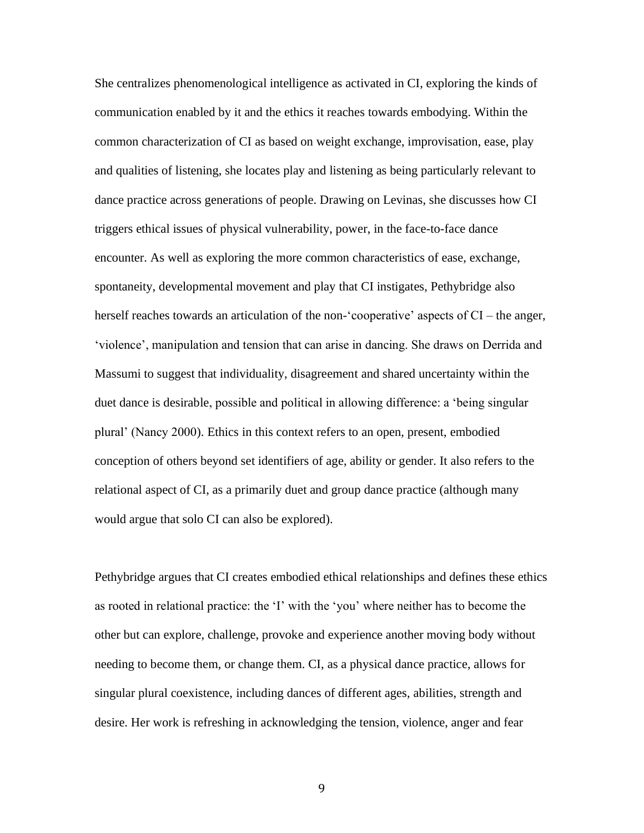She centralizes phenomenological intelligence as activated in CI, exploring the kinds of communication enabled by it and the ethics it reaches towards embodying. Within the common characterization of CI as based on weight exchange, improvisation, ease, play and qualities of listening, she locates play and listening as being particularly relevant to dance practice across generations of people. Drawing on Levinas, she discusses how CI triggers ethical issues of physical vulnerability, power, in the face-to-face dance encounter. As well as exploring the more common characteristics of ease, exchange, spontaneity, developmental movement and play that CI instigates, Pethybridge also herself reaches towards an articulation of the non-'cooperative' aspects of CI – the anger, 'violence', manipulation and tension that can arise in dancing. She draws on Derrida and Massumi to suggest that individuality, disagreement and shared uncertainty within the duet dance is desirable, possible and political in allowing difference: a 'being singular plural' (Nancy 2000). Ethics in this context refers to an open, present, embodied conception of others beyond set identifiers of age, ability or gender. It also refers to the relational aspect of CI, as a primarily duet and group dance practice (although many would argue that solo CI can also be explored).

Pethybridge argues that CI creates embodied ethical relationships and defines these ethics as rooted in relational practice: the 'I' with the 'you' where neither has to become the other but can explore, challenge, provoke and experience another moving body without needing to become them, or change them. CI, as a physical dance practice, allows for singular plural coexistence, including dances of different ages, abilities, strength and desire. Her work is refreshing in acknowledging the tension, violence, anger and fear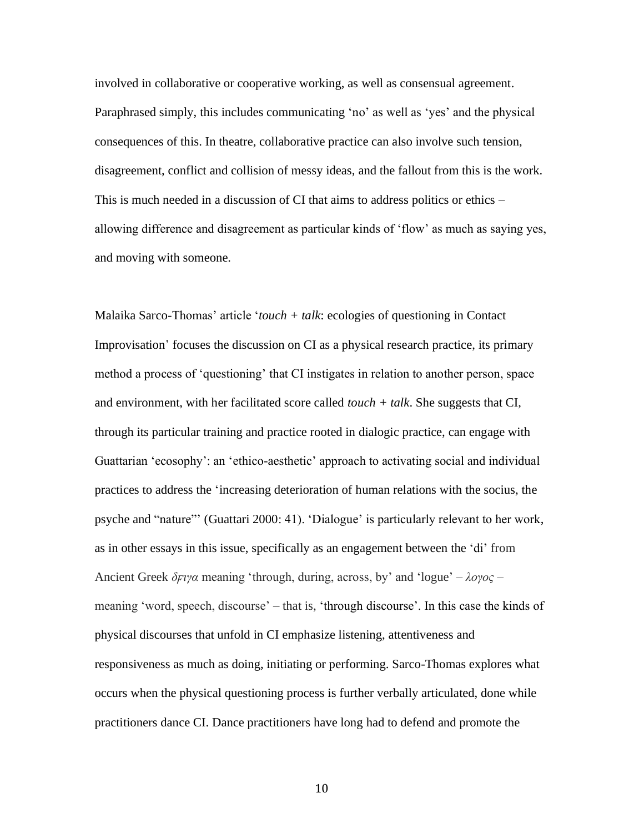involved in collaborative or cooperative working, as well as consensual agreement. Paraphrased simply, this includes communicating 'no' as well as 'yes' and the physical consequences of this. In theatre, collaborative practice can also involve such tension, disagreement, conflict and collision of messy ideas, and the fallout from this is the work. This is much needed in a discussion of CI that aims to address politics or ethics – allowing difference and disagreement as particular kinds of 'flow' as much as saying yes, and moving with someone.

Malaika Sarco-Thomas' article '*touch + talk*: ecologies of questioning in Contact Improvisation' focuses the discussion on CI as a physical research practice, its primary method a process of 'questioning' that CI instigates in relation to another person, space and environment, with her facilitated score called *touch + talk*. She suggests that CI, through its particular training and practice rooted in dialogic practice, can engage with Guattarian 'ecosophy': an 'ethico-aesthetic' approach to activating social and individual practices to address the 'increasing deterioration of human relations with the socius, the psyche and "nature"' (Guattari 2000: 41). 'Dialogue' is particularly relevant to her work, as in other essays in this issue, specifically as an engagement between the 'di' from Ancient Greek *δϝιγα* meaning 'through, during, across, by' and 'logue' – *λογος* – meaning 'word, speech, discourse' – that is, 'through discourse'. In this case the kinds of physical discourses that unfold in CI emphasize listening, attentiveness and responsiveness as much as doing, initiating or performing. Sarco-Thomas explores what occurs when the physical questioning process is further verbally articulated, done while practitioners dance CI. Dance practitioners have long had to defend and promote the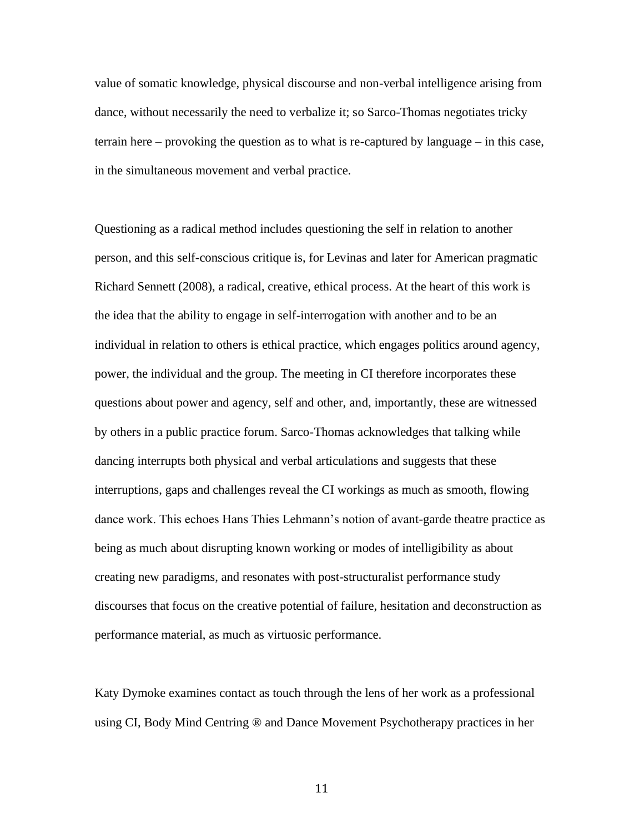value of somatic knowledge, physical discourse and non-verbal intelligence arising from dance, without necessarily the need to verbalize it; so Sarco-Thomas negotiates tricky terrain here – provoking the question as to what is re-captured by language – in this case, in the simultaneous movement and verbal practice.

Questioning as a radical method includes questioning the self in relation to another person, and this self-conscious critique is, for Levinas and later for American pragmatic Richard Sennett (2008), a radical, creative, ethical process. At the heart of this work is the idea that the ability to engage in self-interrogation with another and to be an individual in relation to others is ethical practice, which engages politics around agency, power, the individual and the group. The meeting in CI therefore incorporates these questions about power and agency, self and other, and, importantly, these are witnessed by others in a public practice forum. Sarco-Thomas acknowledges that talking while dancing interrupts both physical and verbal articulations and suggests that these interruptions, gaps and challenges reveal the CI workings as much as smooth, flowing dance work. This echoes Hans Thies Lehmann's notion of avant-garde theatre practice as being as much about disrupting known working or modes of intelligibility as about creating new paradigms, and resonates with post-structuralist performance study discourses that focus on the creative potential of failure, hesitation and deconstruction as performance material, as much as virtuosic performance.

Katy Dymoke examines contact as touch through the lens of her work as a professional using CI, Body Mind Centring ® and Dance Movement Psychotherapy practices in her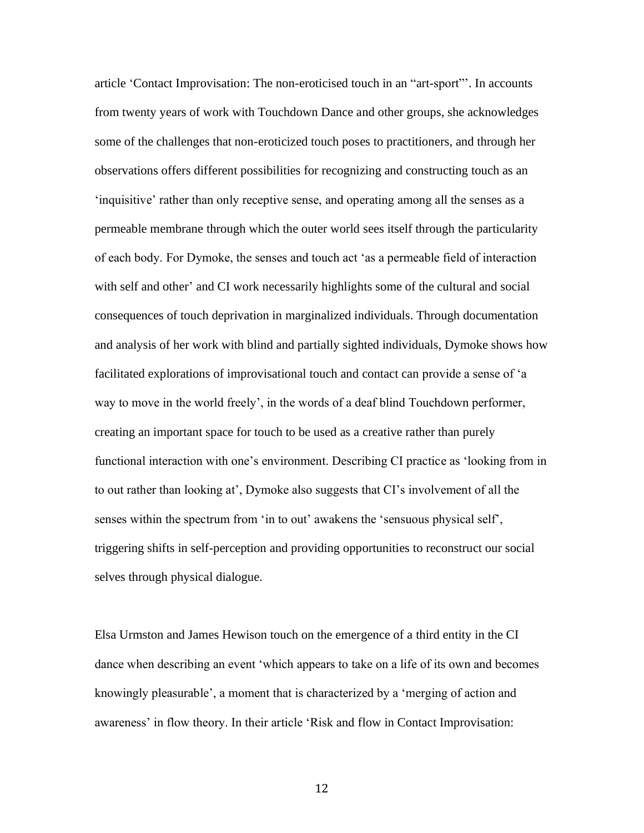article 'Contact Improvisation: The non-eroticised touch in an "art-sport"'. In accounts from twenty years of work with Touchdown Dance and other groups, she acknowledges some of the challenges that non-eroticized touch poses to practitioners, and through her observations offers different possibilities for recognizing and constructing touch as an 'inquisitive' rather than only receptive sense, and operating among all the senses as a permeable membrane through which the outer world sees itself through the particularity of each body. For Dymoke, the senses and touch act 'as a permeable field of interaction with self and other' and CI work necessarily highlights some of the cultural and social consequences of touch deprivation in marginalized individuals. Through documentation and analysis of her work with blind and partially sighted individuals, Dymoke shows how facilitated explorations of improvisational touch and contact can provide a sense of 'a way to move in the world freely', in the words of a deaf blind Touchdown performer, creating an important space for touch to be used as a creative rather than purely functional interaction with one's environment. Describing CI practice as 'looking from in to out rather than looking at', Dymoke also suggests that CI's involvement of all the senses within the spectrum from 'in to out' awakens the 'sensuous physical self', triggering shifts in self-perception and providing opportunities to reconstruct our social selves through physical dialogue.

Elsa Urmston and James Hewison touch on the emergence of a third entity in the CI dance when describing an event 'which appears to take on a life of its own and becomes knowingly pleasurable', a moment that is characterized by a 'merging of action and awareness' in flow theory. In their article 'Risk and flow in Contact Improvisation: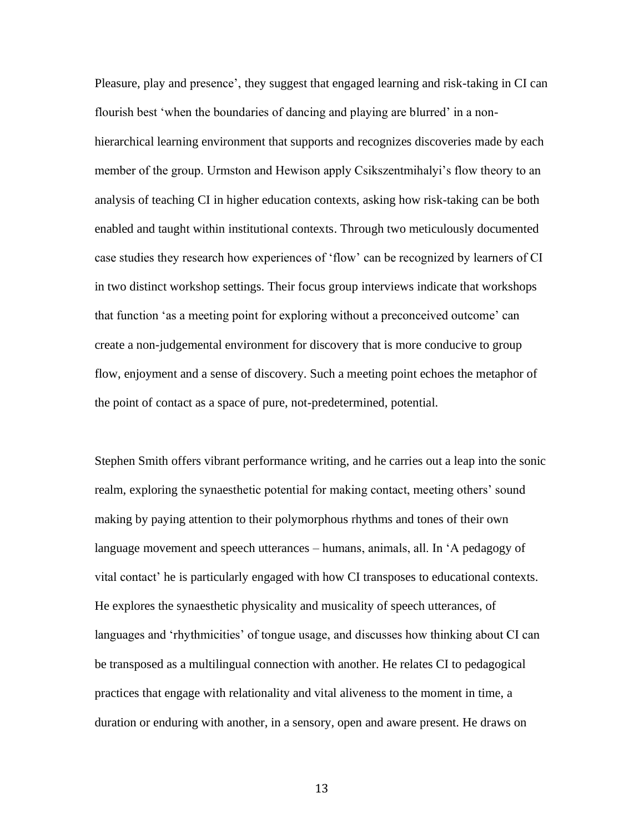Pleasure, play and presence', they suggest that engaged learning and risk-taking in CI can flourish best 'when the boundaries of dancing and playing are blurred' in a nonhierarchical learning environment that supports and recognizes discoveries made by each member of the group. Urmston and Hewison apply Csikszentmihalyi's flow theory to an analysis of teaching CI in higher education contexts, asking how risk-taking can be both enabled and taught within institutional contexts. Through two meticulously documented case studies they research how experiences of 'flow' can be recognized by learners of CI in two distinct workshop settings. Their focus group interviews indicate that workshops that function 'as a meeting point for exploring without a preconceived outcome' can create a non-judgemental environment for discovery that is more conducive to group flow, enjoyment and a sense of discovery. Such a meeting point echoes the metaphor of the point of contact as a space of pure, not-predetermined, potential.

Stephen Smith offers vibrant performance writing, and he carries out a leap into the sonic realm, exploring the synaesthetic potential for making contact, meeting others' sound making by paying attention to their polymorphous rhythms and tones of their own language movement and speech utterances – humans, animals, all. In 'A pedagogy of vital contact' he is particularly engaged with how CI transposes to educational contexts. He explores the synaesthetic physicality and musicality of speech utterances, of languages and 'rhythmicities' of tongue usage, and discusses how thinking about CI can be transposed as a multilingual connection with another. He relates CI to pedagogical practices that engage with relationality and vital aliveness to the moment in time, a duration or enduring with another, in a sensory, open and aware present. He draws on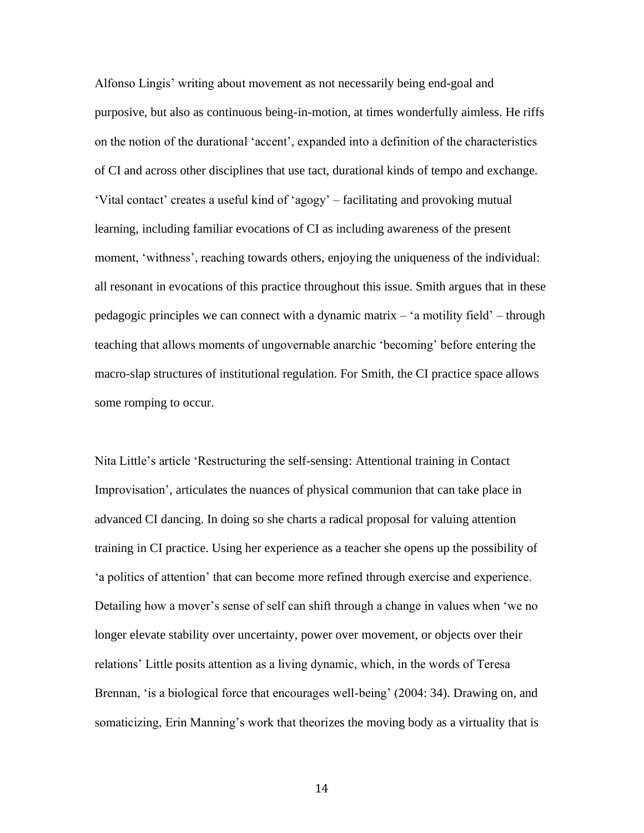Alfonso Lingis' writing about movement as not necessarily being end-goal and purposive, but also as continuous being-in-motion, at times wonderfully aimless. He riffs on the notion of the durational 'accent', expanded into a definition of the characteristics of CI and across other disciplines that use tact, durational kinds of tempo and exchange. 'Vital contact' creates a useful kind of 'agogy' – facilitating and provoking mutual learning, including familiar evocations of CI as including awareness of the present moment, 'withness', reaching towards others, enjoying the uniqueness of the individual: all resonant in evocations of this practice throughout this issue. Smith argues that in these pedagogic principles we can connect with a dynamic matrix – 'a motility field' – through teaching that allows moments of ungovernable anarchic 'becoming' before entering the macro-slap structures of institutional regulation. For Smith, the CI practice space allows some romping to occur.

Nita Little's article 'Restructuring the self-sensing: Attentional training in Contact Improvisation', articulates the nuances of physical communion that can take place in advanced CI dancing. In doing so she charts a radical proposal for valuing attention training in CI practice. Using her experience as a teacher she opens up the possibility of 'a politics of attention' that can become more refined through exercise and experience. Detailing how a mover's sense of self can shift through a change in values when 'we no longer elevate stability over uncertainty, power over movement, or objects over their relations' Little posits attention as a living dynamic, which, in the words of Teresa Brennan, 'is a biological force that encourages well-being' (2004: 34). Drawing on, and somaticizing, Erin Manning's work that theorizes the moving body as a virtuality that is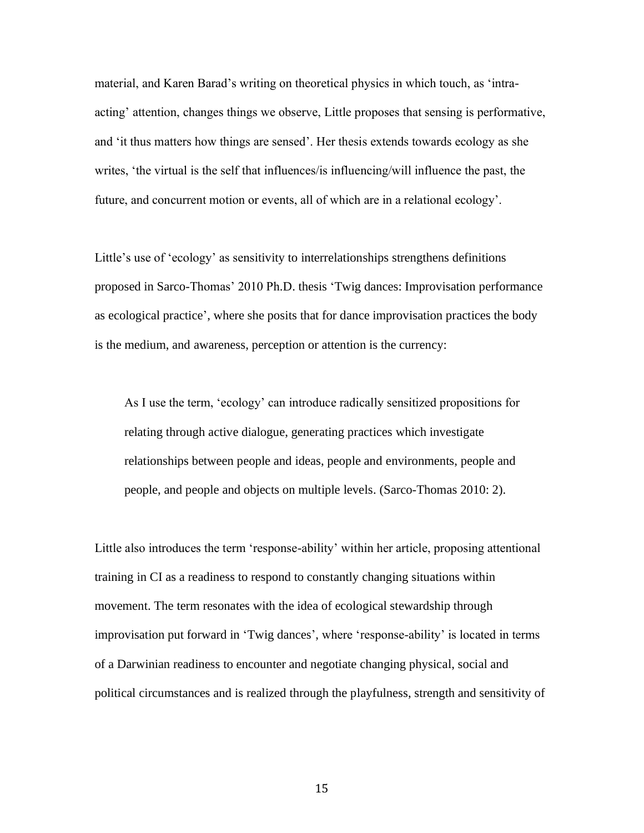material, and Karen Barad's writing on theoretical physics in which touch, as 'intraacting' attention, changes things we observe, Little proposes that sensing is performative, and 'it thus matters how things are sensed'. Her thesis extends towards ecology as she writes, 'the virtual is the self that influences/is influencing/will influence the past, the future, and concurrent motion or events, all of which are in a relational ecology'.

Little's use of 'ecology' as sensitivity to interrelationships strengthens definitions proposed in Sarco-Thomas' 2010 Ph.D. thesis 'Twig dances: Improvisation performance as ecological practice', where she posits that for dance improvisation practices the body is the medium, and awareness, perception or attention is the currency:

As I use the term, 'ecology' can introduce radically sensitized propositions for relating through active dialogue, generating practices which investigate relationships between people and ideas, people and environments, people and people, and people and objects on multiple levels. (Sarco-Thomas 2010: 2).

Little also introduces the term 'response-ability' within her article, proposing attentional training in CI as a readiness to respond to constantly changing situations within movement. The term resonates with the idea of ecological stewardship through improvisation put forward in 'Twig dances', where 'response-ability' is located in terms of a Darwinian readiness to encounter and negotiate changing physical, social and political circumstances and is realized through the playfulness, strength and sensitivity of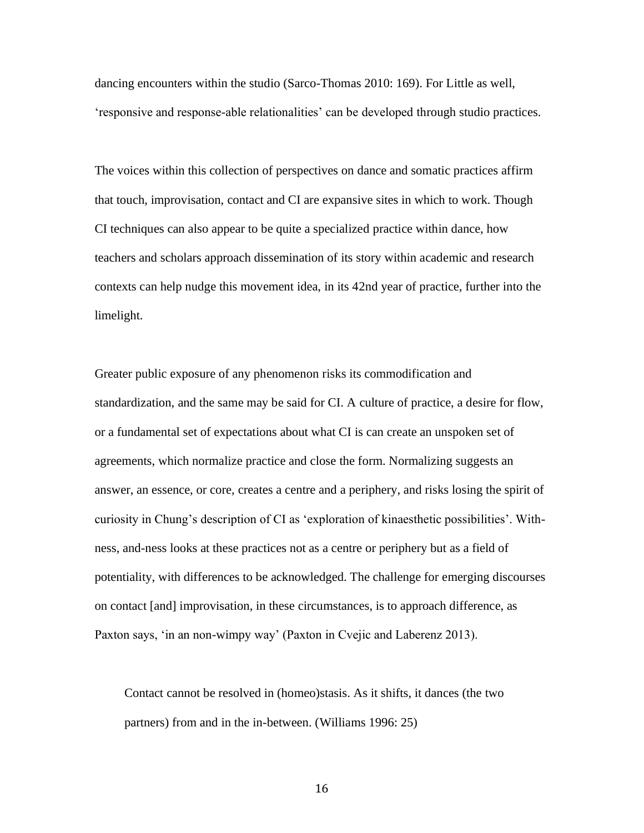dancing encounters within the studio (Sarco-Thomas 2010: 169). For Little as well, 'responsive and response-able relationalities' can be developed through studio practices.

The voices within this collection of perspectives on dance and somatic practices affirm that touch, improvisation, contact and CI are expansive sites in which to work. Though CI techniques can also appear to be quite a specialized practice within dance, how teachers and scholars approach dissemination of its story within academic and research contexts can help nudge this movement idea, in its 42nd year of practice, further into the limelight.

Greater public exposure of any phenomenon risks its commodification and standardization, and the same may be said for CI. A culture of practice, a desire for flow, or a fundamental set of expectations about what CI is can create an unspoken set of agreements, which normalize practice and close the form. Normalizing suggests an answer, an essence, or core, creates a centre and a periphery, and risks losing the spirit of curiosity in Chung's description of CI as 'exploration of kinaesthetic possibilities'. Withness, and-ness looks at these practices not as a centre or periphery but as a field of potentiality, with differences to be acknowledged. The challenge for emerging discourses on contact [and] improvisation, in these circumstances, is to approach difference, as Paxton says, 'in an non-wimpy way' (Paxton in Cvejic and Laberenz 2013).

Contact cannot be resolved in (homeo)stasis. As it shifts, it dances (the two partners) from and in the in-between. (Williams 1996: 25)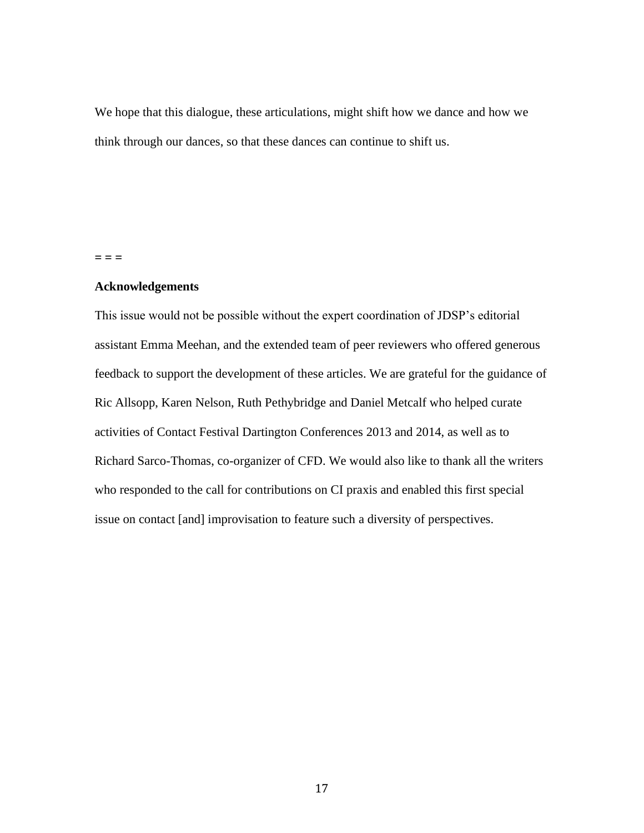We hope that this dialogue, these articulations, might shift how we dance and how we think through our dances, so that these dances can continue to shift us.

**= = =**

### **Acknowledgements**

This issue would not be possible without the expert coordination of JDSP's editorial assistant Emma Meehan, and the extended team of peer reviewers who offered generous feedback to support the development of these articles. We are grateful for the guidance of Ric Allsopp, Karen Nelson, Ruth Pethybridge and Daniel Metcalf who helped curate activities of Contact Festival Dartington Conferences 2013 and 2014, as well as to Richard Sarco-Thomas, co-organizer of CFD. We would also like to thank all the writers who responded to the call for contributions on CI praxis and enabled this first special issue on contact [and] improvisation to feature such a diversity of perspectives.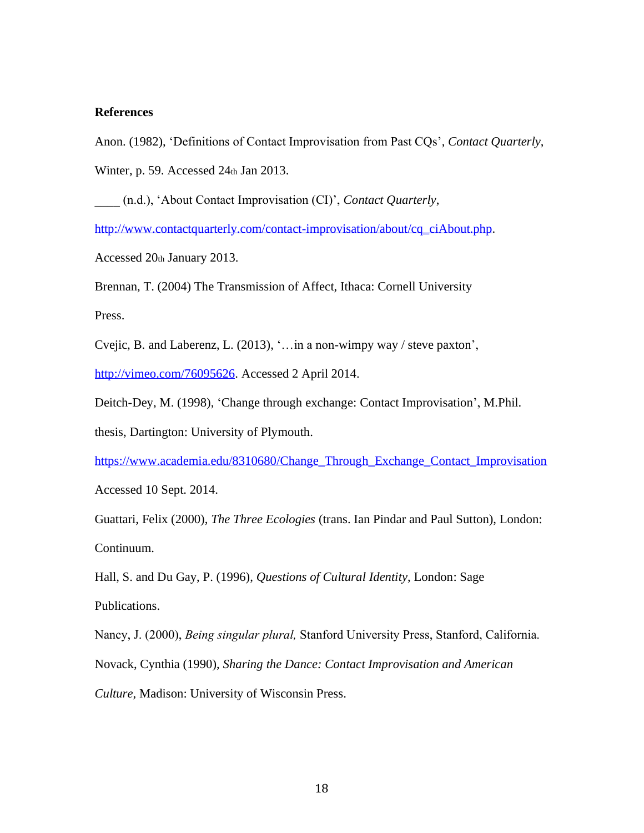# **References**

Anon. (1982), 'Definitions of Contact Improvisation from Past CQs', *Contact Quarterly*,

Winter, p. 59. Accessed 24th Jan 2013.

\_\_\_\_ (n.d.), 'About Contact Improvisation (CI)', *Contact Quarterly*,

[http://www.contactquarterly.com/contact-improvisation/about/cq\\_ciAbout.php.](http://www.contactquarterly.com/contact-improvisation/about/cq_ciAbout.php)

Accessed 20th January 2013.

Brennan, T. (2004) The Transmission of Affect, Ithaca: Cornell University

Press.

Cvejic, B. and Laberenz, L. (2013), '…in a non-wimpy way / steve paxton',

[http://vimeo.com/76095626.](http://vimeo.com/76095626) Accessed 2 April 2014.

Deitch-Dey, M. (1998), 'Change through exchange: Contact Improvisation', M.Phil.

thesis, Dartington: University of Plymouth.

[https://www.academia.edu/8310680/Change\\_Through\\_Exchange\\_Contact\\_Improvisation](https://www.academia.edu/8310680/Change_Through_Exchange_Contact_Improvisation)

Accessed 10 Sept. 2014.

Guattari, Felix (2000), *The Three Ecologies* (trans. Ian Pindar and Paul Sutton), London: Continuum.

Hall, S. and Du Gay, P. (1996), *Questions of Cultural Identity*, London: Sage Publications.

Nancy, J. (2000), *Being singular plural,* Stanford University Press, Stanford, California. Novack, Cynthia (1990), *Sharing the Dance: Contact Improvisation and American Culture*, Madison: University of Wisconsin Press.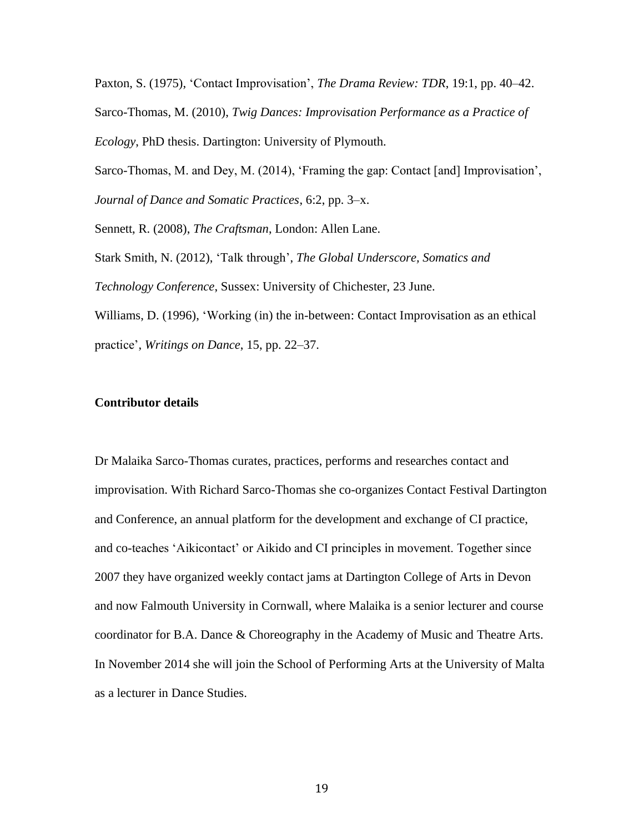Paxton, S. (1975), 'Contact Improvisation', *The Drama Review: TDR*, 19:1, pp. 40–42. Sarco-Thomas, M. (2010), *Twig Dances: Improvisation Performance as a Practice of Ecology*, PhD thesis. Dartington: University of Plymouth.

Sarco-Thomas, M. and Dey, M. (2014), 'Framing the gap: Contact [and] Improvisation', *Journal of Dance and Somatic Practices*, 6:2, pp. 3–x.

Sennett, R. (2008), *The Craftsman*, London: Allen Lane.

Stark Smith, N. (2012), 'Talk through', *The Global Underscore, Somatics and Technology Conference*, Sussex: University of Chichester, 23 June. Williams, D. (1996), 'Working (in) the in-between: Contact Improvisation as an ethical

practice', *Writings on Dance*, 15, pp. 22–37.

## **Contributor details**

Dr Malaika Sarco-Thomas curates, practices, performs and researches contact and improvisation. With Richard Sarco-Thomas she co-organizes Contact Festival Dartington and Conference, an annual platform for the development and exchange of CI practice, and co-teaches 'Aikicontact' or Aikido and CI principles in movement. Together since 2007 they have organized weekly contact jams at Dartington College of Arts in Devon and now Falmouth University in Cornwall, where Malaika is a senior lecturer and course coordinator for B.A. Dance & Choreography in the Academy of Music and Theatre Arts. In November 2014 she will join the School of Performing Arts at the University of Malta as a lecturer in Dance Studies.